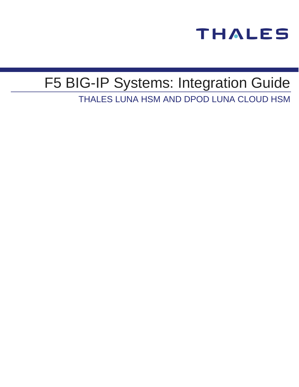

# F5 BIG-IP Systems: Integration Guide

THALES LUNA HSM AND DPOD LUNA CLOUD HSM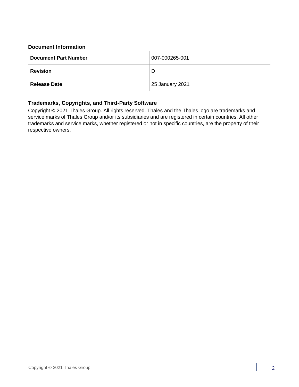#### **Document Information**

| <b>Document Part Number</b> | 007-000265-001  |  |
|-----------------------------|-----------------|--|
| <b>Revision</b>             | D               |  |
| <b>Release Date</b>         | 25 January 2021 |  |

#### **Trademarks, Copyrights, and Third-Party Software**

Copyright © 2021 Thales Group. All rights reserved. Thales and the Thales logo are trademarks and service marks of Thales Group and/or its subsidiaries and are registered in certain countries. All other trademarks and service marks, whether registered or not in specific countries, are the property of their respective owners.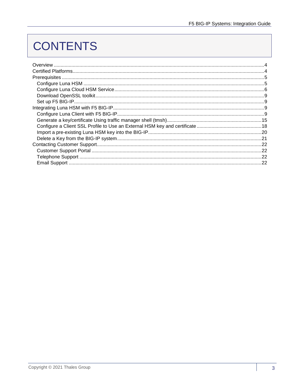## **CONTENTS**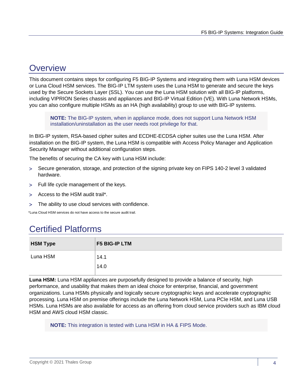## <span id="page-3-0"></span>**Overview**

This document contains steps for configuring F5 BIG-IP Systems and integrating them with Luna HSM devices or Luna Cloud HSM services. The BIG-IP LTM system uses the Luna HSM to generate and secure the keys used by the Secure Sockets Layer (SSL). You can use the Luna HSM solution with all BIG-IP platforms, including VIPRION Series chassis and appliances and BIG-IP Virtual Edition (VE). With Luna Network HSMs, you can also configure multiple HSMs as an HA (high availability) group to use with BIG-IP systems.

**NOTE:** The BIG-IP system, when in appliance mode, does not support Luna Network HSM installation/uninstallation as the user needs root privilege for that.

In BIG-IP system, RSA-based cipher suites and ECDHE-ECDSA cipher suites use the Luna HSM. After installation on the BIG-IP system, the Luna HSM is compatible with Access Policy Manager and Application Security Manager without additional configuration steps.

The benefits of securing the CA key with Luna HSM include:

- Secure generation, storage, and protection of the signing private key on FIPS 140-2 level 3 validated hardware.
- Full life cycle management of the keys.
- Access to the HSM audit trail\*.
- The ability to use cloud services with confidence.

<span id="page-3-1"></span>\*Luna Cloud HSM services do not have access to the secure audit trail.

## Certified Platforms

| <b>HSM Type</b> | <b>F5 BIG-IP LTM</b> |
|-----------------|----------------------|
| Luna HSM        | 14.1                 |
|                 | 14.0                 |

**Luna HSM:** Luna HSM appliances are purposefully designed to provide a balance of security, high performance, and usability that makes them an ideal choice for enterprise, financial, and government organizations. Luna HSMs physically and logically secure cryptographic keys and accelerate cryptographic processing. Luna HSM on premise offerings include the Luna Network HSM, Luna PCIe HSM, and Luna USB HSMs. Luna HSMs are also available for access as an offering from cloud service providers such as IBM cloud HSM and AWS cloud HSM classic.

**NOTE:** This integration is tested with Luna HSM in HA & FIPS Mode.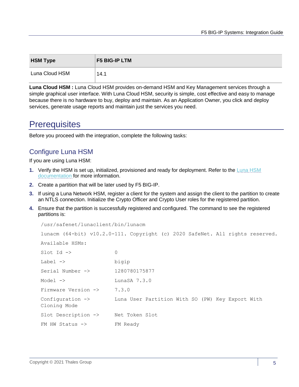| <b>HSM Type</b> | <b>F5 BIG-IP LTM</b> |
|-----------------|----------------------|
| Luna Cloud HSM  | 14.1                 |

**Luna Cloud HSM :** Luna Cloud HSM provides on-demand HSM and Key Management services through a simple graphical user interface. With Luna Cloud HSM, security is simple, cost effective and easy to manage because there is no hardware to buy, deploy and maintain. As an Application Owner, you click and deploy services, generate usage reports and maintain just the services you need.

## <span id="page-4-0"></span>**Prerequisites**

Before you proceed with the integration, complete the following tasks:

## <span id="page-4-1"></span>Configure Luna HSM

If you are using Luna HSM:

- **1.** Verify the HSM is set up, initialized, provisioned and ready for deployment. Refer to the [Luna HSM](https://thalesdocs.com/gphsm/Content/luna/network/luna_network_releases.htm)  [documentation](https://thalesdocs.com/gphsm/Content/luna/network/luna_network_releases.htm) for more information.
- **2.** Create a partition that will be later used by F5 BIG-IP.
- **3.** If using a Luna Network HSM, register a client for the system and assign the client to the partition to create an NTLS connection. Initialize the Crypto Officer and Crypto User roles for the registered partition.
- **4.** Ensure that the partition is successfully registered and configured. The command to see the registered partitions is:

```
/usr/safenet/lunaclient/bin/lunacm
lunacm (64-bit) v10.2.0-111. Copyright (c) 2020 SafeNet. All rights reserved.
Available HSMs:
Slot Id \rightarrow 0
Label -> bigip
Serial Number -> 1280780175877
Model -> LunaSA 7.3.0
Firmware Version \rightarrow 7.3.0
Configuration -> Luna User Partition With SO (PW) Key Export With 
Cloning Mode
Slot Description -> Net Token Slot
FM HW Status -> FM Ready
```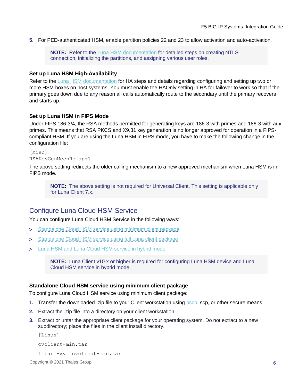**5.** For PED-authenticated HSM, enable partition policies 22 and 23 to allow activation and auto-activation.

**NOTE:** Refer to the [Luna HSM documentation](https://thalesdocs.com/gphsm/Content/luna/network/luna_network_releases.htm) for detailed steps on creating NTLS connection, initializing the partitions, and assigning various user roles.

#### **Set up Luna HSM High-Availability**

Refer to the [Luna HSM documentation](https://thalesdocs.com/gphsm/Content/luna/network/luna_network_releases.htm) for HA steps and details regarding configuring and setting up two or more HSM boxes on host systems. You must enable the HAOnly setting in HA for failover to work so that if the primary goes down due to any reason all calls automatically route to the secondary until the primary recovers and starts up.

#### **Set up Luna HSM in FIPS Mode**

Under FIPS 186-3/4, the RSA methods permitted for generating keys are 186-3 with primes and 186-3 with aux primes. This means that RSA PKCS and X9.31 key generation is no longer approved for operation in a FIPScompliant HSM. If you are using the Luna HSM in FIPS mode, you have to make the following change in the configuration file:

[Misc] RSAKeyGenMechRemap=1

The above setting redirects the older calling mechanism to a new approved mechanism when Luna HSM is in FIPS mode.

**NOTE:** The above setting is not required for Universal Client. This setting is applicable only for Luna Client 7.x.

## <span id="page-5-0"></span>Configure Luna Cloud HSM Service

You can configure Luna Cloud HSM Service in the following ways:

- > [Standalone Cloud HSM service using minimum client package](#page-5-1)
- > [Standalone Cloud HSM service using full Luna client package](#page-6-0)
- [Luna HSM and Luna Cloud HSM service in hybrid mode](#page-7-0)

**NOTE:** Luna Client v10.x or higher is required for configuring Luna HSM device and Luna Cloud HSM service in hybrid mode.

#### <span id="page-5-1"></span>**Standalone Cloud HSM service using minimum client package**

To configure Luna Cloud HSM service using minimum client package:

- **1.** Transfer the downloaded .zip file to your Client workstation using [pscp,](https://thalesdocs.com/gphsm/luna/10.2/docs/network/Content/Utilities/pscp.htm) scp, or other secure means.
- **2.** Extract the .zip file into a directory on your client workstation.
- **3.** Extract or untar the appropriate client package for your operating system. Do not extract to a new subdirectory; place the files in the client install directory.

```
[Linux]
```

```
cvclient-min.tar
```

```
# tar -xvf cvclient-min.tar
```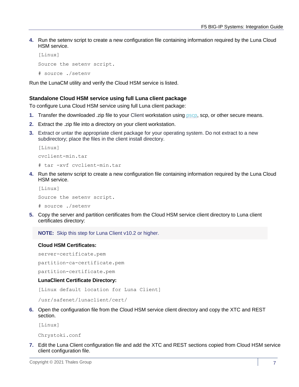**4.** Run the setenv script to create a new configuration file containing information required by the Luna Cloud HSM service.

```
[Linux]
Source the setenv script.
# source ./setenv
```
Run the LunaCM utility and verify the Cloud HSM service is listed.

#### <span id="page-6-0"></span>**Standalone Cloud HSM service using full Luna client package**

To configure Luna Cloud HSM service using full Luna client package:

- **1.** Transfer the downloaded .zip file to your Client workstation using [pscp,](https://thalesdocs.com/gphsm/luna/10.2/docs/network/Content/Utilities/pscp.htm) scp, or other secure means.
- **2.** Extract the .zip file into a directory on your client workstation.
- **3.** Extract or untar the appropriate client package for your operating system. Do not extract to a new subdirectory; place the files in the client install directory.

```
[Linux]
cvclient-min.tar
# tar -xvf cvclient-min.tar
```
**4.** Run the setenv script to create a new configuration file containing information required by the Luna Cloud HSM service.

```
[Linux]
Source the setenv script.
# source ./setenv
```
**5.** Copy the server and partition certificates from the Cloud HSM service client directory to Luna client certificates directory:

**NOTE:** Skip this step for Luna Client v10.2 or higher.

#### **Cloud HSM Certificates:**

server-certificate.pem

partition-ca-certificate.pem

partition-certificate.pem

#### **LunaClient Certificate Directory:**

[Linux default location for Luna Client]

/usr/safenet/lunaclient/cert/

**6.** Open the configuration file from the Cloud HSM service client directory and copy the XTC and REST section.

[Linux]

Chrystoki.conf

**7.** Edit the Luna Client configuration file and add the XTC and REST sections copied from Cloud HSM service client configuration file.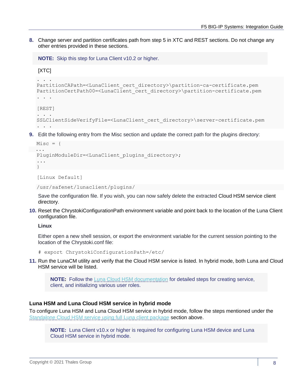**8.** Change server and partition certificates path from step 5 in XTC and REST sections. Do not change any other entries provided in these sections.

```
NOTE: Skip this step for Luna Client v10.2 or higher.
```

```
[XTC]
```

```
. . . 
PartitionCAPath=<LunaClient_cert_directory>\partition-ca-certificate.pem
PartitionCertPath00=<LunaClient_cert_directory>\partition-certificate.pem
. . .
```

```
[REST]
```

```
. . .
SSLClientSideVerifyFile=<LunaClient_cert_directory>\server-certificate.pem
. . .
```
**9.** Edit the following entry from the Misc section and update the correct path for the plugins directory:

```
Miss = \{ ...
PluginModuleDir=<LunaClient_plugins_directory>;
...
}
```
[Linux Default]

```
/usr/safenet/lunaclient/plugins/
```
Save the configuration file. If you wish, you can now safely delete the extracted Cloud HSM service client directory.

**10.** Reset the ChrystokiConfigurationPath environment variable and point back to the location of the Luna Client configuration file.

**Linux**

Either open a new shell session, or export the environment variable for the current session pointing to the location of the Chrystoki.conf file:

```
# export ChrystokiConfigurationPath=/etc/
```
**11.** Run the LunaCM utility and verify that the Cloud HSM service is listed. In hybrid mode, both Luna and Cloud HSM service will be listed.

**NOTE:** Follow the [Luna Cloud HSM](https://thalesdocs.com/dpod/index.html) documentation for detailed steps for creating service, client, and initializing various user roles.

#### <span id="page-7-0"></span>**Luna HSM and Luna Cloud HSM service in hybrid mode**

To configure Luna HSM and Luna Cloud HSM service in hybrid mode, follow the steps mentioned under the [Standalone Cloud HSM service using full Luna client package](#page-6-0) section above.

**NOTE:** Luna Client v10.x or higher is required for configuring Luna HSM device and Luna Cloud HSM service in hybrid mode.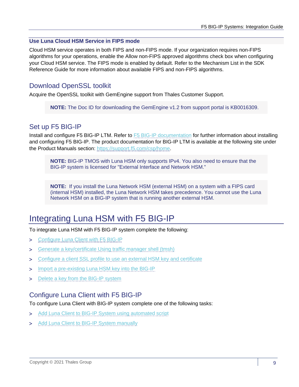#### **Use Luna Cloud HSM Service in FIPS mode**

Cloud HSM service operates in both FIPS and non-FIPS mode. If your organization requires non-FIPS algorithms for your operations, enable the Allow non-FIPS approved algorithms check box when configuring your Cloud HSM service. The FIPS mode is enabled by default. Refer to the Mechanism List in the SDK Reference Guide for more information about available FIPS and non-FIPS algorithms.

## <span id="page-8-0"></span>Download OpenSSL toolkit

Acquire the OpenSSL toolkit with GemEngine support from Thales Customer Support.

**NOTE:** The Doc ID for downloading the GemEngine v1.2 from support portal is KB0016309.

## <span id="page-8-1"></span>Set up F5 BIG-IP

Install and configure F5 BIG-IP LTM. Refer to **F5 BIG-IP** documentation for further information about installing and configuring F5 BIG-IP. The product documentation for BIG-IP LTM is available at the following site under the Product Manuals section: [https://support.f5.com/csp/home.](https://support.f5.com/csp/home)

**NOTE:** BIG-IP TMOS with Luna HSM only supports IPv4. You also need to ensure that the BIG-IP system is licensed for "External Interface and Network HSM."

**NOTE:** If you install the Luna Network HSM (external HSM) on a system with a FIPS card (internal HSM) installed, the Luna Network HSM takes precedence. You cannot use the Luna Network HSM on a BIG-IP system that is running another external HSM.

## <span id="page-8-2"></span>Integrating Luna HSM with F5 BIG-IP

To integrate Luna HSM with F5 BIG-IP system complete the following:

- > Configure [Luna Client with F5 BIG-IP](#page-8-3)
- [Generate a key/certificate Using traffic manager shell \(tmsh\)](#page-14-0)
- > Configure [a client SSL profile to use an external HSM key and certificate](#page-17-0)
- > Import [a pre-existing Luna HSM key into the BIG-IP](#page-19-0)
- > Delete [a key from the BIG-IP system](#page-20-0)

## <span id="page-8-3"></span>Configure Luna Client with F5 BIG-IP

To configure Luna Client with BIG-IP system complete one of the following tasks:

- > Add Luna [Client to BIG-IP System using automated script](#page-9-0)
- > Add [Luna Client to BIG-IP System manually](#page-10-0)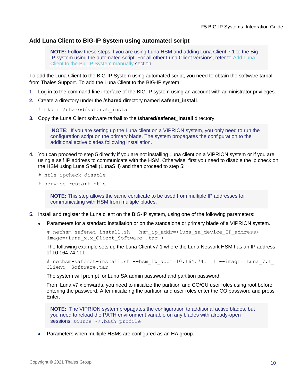#### <span id="page-9-0"></span>**Add Luna Client to BIG-IP System using automated script**

**NOTE:** Follow these steps if you are using Luna HSM and adding Luna Client 7.1 to the Big-IP system using the automated script. For all other Luna Client versions, refer to [Add Luna](#page-10-0)  [Client to the Big-IP System manually](#page-10-0) section.

To add the Luna Client to the BIG-IP System using automated script, you need to obtain the software tarball from Thales Support. To add the Luna Client to the BIG-IP system:

- **1.** Log in to the command-line interface of the BIG-IP system using an account with administrator privileges.
- **2.** Create a directory under the **/shared** directory named **safenet\_install**.

```
# mkdir /shared/safenet_install
```
**3.** Copy the Luna Client software tarball to the **/shared/safenet\_install** directory.

**NOTE:** If you are setting up the Luna client on a VIPRION system, you only need to run the configuration script on the primary blade. The system propagates the configuration to the additional active blades following installation.

- **4.** You can proceed to step 5 directly if you are not installing Luna client on a VIPRION system or if you are using a self IP address to communicate with the HSM. Otherwise, first you need to disable the ip check on the HSM using Luna Shell (LunaSH) and then proceed to step 5:
	- # ntls ipcheck disable
	- # service restart ntls

**NOTE:** This step allows the same certificate to be used from multiple IP addresses for communicating with HSM from multiple blades.

- **5.** Install and register the Luna client on the BIG-IP system, using one of the following parameters:
	- Parameters for a standard installation or on the standalone or primary blade of a VIPRION system.

# nethsm-safenet-install.sh --hsm\_ip\_addr=<luna\_sa\_device\_IP\_address> - image=<Luna\_x.x\_Client\_Software .tar >

The following example sets up the Luna Client v7.1 where the Luna Network HSM has an IP address of 10.164.74.111:

```
# nethsm-safenet-install.sh --hsm ip addr=10.164.74.111 --image= Luna 7.1
Client_ Software.tar
```
The system will prompt for Luna SA admin password and partition password.

From Luna v7.x onwards, you need to initialize the partition and CO/CU user roles using root before entering the password. After initializing the partition and user roles enter the CO password and press Enter.

**NOTE:** The VIPRION system propagates the configuration to additional active blades, but you need to reload the PATH environment variable on any blades with already-open sessions: source ~/.bash profile

Parameters when multiple HSMs are configured as an HA group.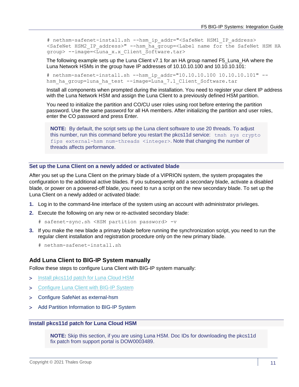# nethsm-safenet-install.sh --hsm\_ip\_addr="<SafeNet HSM1\_IP\_address>  $\leq$ SafeNet HSM2 IP address>" --hsm ha group= $\leq$ Label name for the SafeNet HSM HA group> --image=<Luna\_x.x\_Client\_Software.tar>

The following example sets up the Luna Client v7.1 for an HA group named F5 Luna HA where the Luna Network HSMs in the group have IP addresses of 10.10.10.100 and 10.10.10.101:

# nethsm-safenet-install.sh --hsm\_ip\_addr="10.10.10.100 10.10.10.101" - hsm ha group=luna ha test --image=Luna 7.1 Client Software.tar

Install all components when prompted during the installation. You need to register your client IP address with the Luna Network HSM and assign the Luna Client to a previously defined HSM partition.

You need to initialize the partition and CO/CU user roles using root before entering the partition password. Use the same password for all HA members. After initializing the partition and user roles, enter the CO password and press Enter.

**NOTE:** By default, the script sets up the Luna client software to use 20 threads. To adjust this number, run this command before you restart the pkcs11d service: tmsh sys crypto fips external-hsm num-threads <integer>. Note that changing the number of threads affects performance.

#### **Set up the Luna Client on a newly added or activated blade**

After you set up the Luna Client on the primary blade of a VIPRION system, the system propagates the configuration to the additional active blades. If you subsequently add a secondary blade, activate a disabled blade, or power on a powered-off blade, you need to run a script on the new secondary blade. To set up the Luna Client on a newly added or activated blade:

- **1.** Log in to the command-line interface of the system using an account with administrator privileges.
- **2.** Execute the following on any new or re-activated secondary blade:
	- # safenet-sync.sh <HSM partition password> -v
- **3.** If you make the new blade a primary blade before running the synchronization script, you need to run the regular client installation and registration procedure only on the new primary blade.
	- # nethsm-safenet-install.sh

#### <span id="page-10-0"></span>**Add Luna Client to BIG-IP System manually**

Follow these steps to configure Luna Client with BIG-IP system manually:

- > Install [pkcs11d patch](#page-10-1) for Luna Cloud HSM
- > [Configure Luna Client with](#page-11-0) BIG-IP System
- [Configure SafeNet as](#page-13-0) external-hsm
- [Add Partition Information to BIG-IP System](#page-13-1)

#### <span id="page-10-1"></span>**Install pkcs11d patch for Luna Cloud HSM**

**NOTE:** Skip this section, if you are using Luna HSM. Doc IDs for downloading the pkcs11d fix patch from support portal is DOW0003489.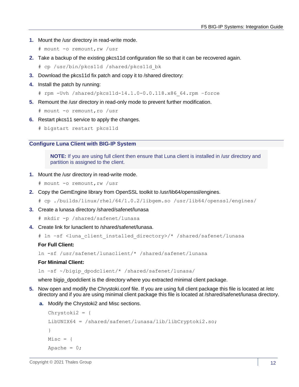- **1.** Mount the /usr directory in read-write mode.
	- # mount -o remount,rw /usr
- **2.** Take a backup of the existing pkcs11d configuration file so that it can be recovered again.

# cp /usr/bin/pkcs11d /shared/pkcs11d\_bk

- **3.** Download the pkcs11d fix patch and copy it to /shared directory:
- **4.** Install the patch by running:

```
# rpm -Uvh /shared/pkcs11d-14.1.0-0.0.118.x86_64.rpm –force
```
**5.** Remount the /usr directory in read-only mode to prevent further modification.

```
# mount -o remount,ro /usr
```
- **6.** Restart pkcs11 service to apply the changes.
	- # bigstart restart pkcs11d

#### <span id="page-11-0"></span>**Configure Luna Client with BIG-IP System**

**NOTE:** If you are using full client then ensure that Luna client is installed in /usr directory and partition is assigned to the client.

**1.** Mount the /usr directory in read-write mode.

```
# mount -o remount,rw /usr
```
- **2.** Copy the GemEngine library from OpenSSL toolkit to /usr/lib64/openssl/engines.
	- # cp ./builds/linux/rhel/64/1.0.2/libgem.so /usr/lib64/openssl/engines/
- **3.** Create a lunasa directory /shared/safenet/lunasa

```
# mkdir -p /shared/safenet/lunasa
```
**4.** Create link for lunaclient to /shared/safenet/lunasa.

# ln –sf <luna\_client\_installed\_directory>/\* /shared/safenet/lunasa

#### **For Full Client:**

```
ln -sf /usr/safenet/lunaclient/* /shared/safenet/lunasa
```
#### **For Minimal Client:**

ln –sf ~/bigip\_dpodclient/\* /shared/safenet/lunasa/

where bigip\_dpodclient is the directory where you extracted minimal client package.

- **5.** Now open and modify the Chrystoki.conf file. If you are using full client package this file is located at /etc directory and if you are using minimal client package this file is located at /shared/safenet/lunasa directory.
	- **a.** Modify the Chrystoki2 and Misc sections.

```
Chrystoki2 = {
LibUNIX64 = /shared/safenet/lunasa/lib/libCryptoki2.so;
}
Misc = \{Apache = 0;
```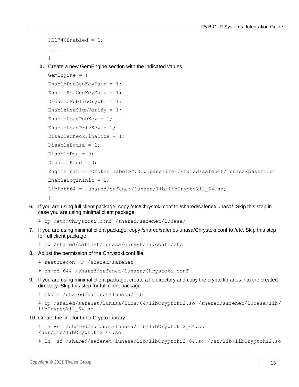```
PE1746Enabled = 1;
 ………
```
}

**b.** Create a new GemEngine section with the indicated values.

```
GemEngine = {
EnableDsaGenKeyPair = 1;
EnableRsaGenKeyPair = 1;
DisablePublicCrypto = 1;
EnableRsaSignVerify = 1;
EnableLoadPubKey = 1;EnableLoadPrivKey = 1;
DisableCheckFinalize = 1;
DisableEcdsa = 1;
DisableDsa = 0;
DisableRand = 0;
EngineInit = "<token_label>":0:0:passfile=/shared/safenet/lunasa/passfile;
EnableLoginInit = 1;
LibPath64 = /shared/safenet/lunasa/lib/libCryptoki2_64.so;
}
```
**6.** If you are using full client package, copy /etc/Chrystoki.conf to /shared/safenet/lunasa/. Skip this step in case you are using minimal client package.

```
# cp /etc/Chrystoki.conf /shared/safenet/lunasa/
```
- **7.** If you are using minimal client package, copy /shared/safenet/lunasa/Chrystoki.conf to /etc. Skip this step for full client package.
	- # cp /shared/safenet/lunasa/Chrystoki.conf /etc
- **8.** Adjust the permission of the Chrystoki.conf file.
	- # restorecon -R /shared/safenet
	- # chmod 644 /shared/safenet/lunasa/Chrystoki.conf
- **9.** If you are using minimal client package, create a lib directory and copy the crypto libraries into the created directory. Skip this step for full client package.
	- # mkdir /shared/safenet/lunasa/lib

```
# cp /shared/safenet/lunasa/libs/64/libCryptoki2.so /shared/safenet/lunasa/lib/
libCryptoki2_64.so
```
**10.** Create the link for Luna Crypto Library.

```
# ln -sf /shared/safenet/lunasa/lib/libCryptoki2_64.so 
/usr/lib/libCryptoki2_64.so
```

```
# ln -sf /shared/safenet/lunasa/lib/libCryptoki2_64.so /usr/lib/libCryptoki2.so
```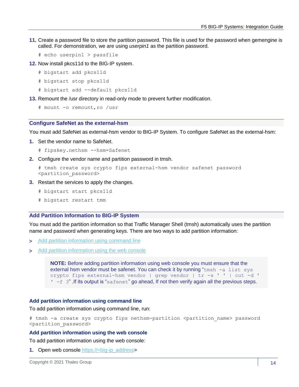- **11.** Create a password file to store the partition password. This file is used for the password when gemengine is called. For demonstration, we are using *userpin1* as the partition password.
	- # echo userpin1 > passfile
- **12.** Now install pkcs11d to the BIG-IP system.
	- # bigstart add pkcs11d
	- # bigstart stop pkcs11d
	- # bigstart add --default pkcs11d
- **13.** Remount the /usr directory in read-only mode to prevent further modification.

```
# mount -o remount,ro /usr
```
#### <span id="page-13-0"></span>**Configure SafeNet as the external-hsm**

You must add SafeNet as external-hsm vendor to BIG-IP System. To configure SafeNet as the external-hsm:

**1.** Set the vendor name to SafeNet.

```
# fipskey.nethsm --hsm=Safenet
```
**2.** Configure the vendor name and partition password in tmsh.

```
# tmsh create sys crypto fips external-hsm vendor safenet password 
<partition_password>
```
- **3.** Restart the services to apply the changes.
	- # bigstart start pkcs11d
	- # bigstart restart tmm

#### <span id="page-13-1"></span>**Add Partition Information to BIG-IP System**

You must add the partition information so that Traffic Manager Shell (tmsh) automatically uses the partition name and password when generating keys. There are two ways to add partition information:

- > [Add partition information using command line](#page-13-2)
- > [Add partition information using the web console](#page-13-3)

**NOTE:** Before adding partition information using web console you must ensure that the external hsm vendor must be safenet. You can check it by running " $tmsh -a list$  sys crypto fips external-hsm vendor | grep vendor | tr -s ' ' | cut -d ' ' -f 3" .If its output is "safenet" go ahead, If not then verify again all the previous steps.

#### <span id="page-13-2"></span>**Add partition information using command line**

To add partition information using command line, run:

# tmsh -a create sys crypto fips nethsm-partition <partition name> password <partition\_password>

#### <span id="page-13-3"></span>**Add partition information using the web console**

To add partition information using the web console:

**1.** Open web console https://<br/>big-ip\_address>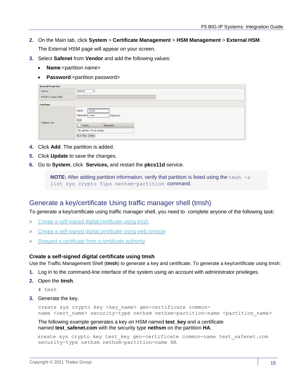- **2.** On the Main tab, click **System** > **Certificate Management** > **HSM Management** > **External HSM**. The External HSM page will appear on your screen.
- **3.** Select **Safenet** from **Vendor** and add the following values:
	- **Name:**<partition name>
	- Password:<partition password>

| <b>General Properties</b> |                                                                                                                                    |
|---------------------------|------------------------------------------------------------------------------------------------------------------------------------|
| Vendor                    | Safenet<br>$\checkmark$                                                                                                            |
| PKCS11 Library Path       |                                                                                                                                    |
| <b>Partitions</b>         |                                                                                                                                    |
| <b>Partition List</b>     | Name<br><b>DPoD</b><br>Password<br>(Optional)<br>Add<br>ıГ<br>Password<br>Name<br>No partition info to display<br>Edit Test Delete |

- **4.** Click **Add**. The partition is added.
- **5.** Click **Update** to save the changes.
- **6.** Go to **System**, click **Services,** and restart the **pkcs11d** service.

**NOTE:** After adding partition information, verify that partition is listed using the tmsh -a list sys crypto fips nethsm-partition command.

## <span id="page-14-0"></span>Generate a key/certificate Using traffic manager shell (tmsh)

To generate a key/certificate using traffic manager shell, you need to complete anyone of the following task:

- > Create [a self-signed digital certificate using tmsh](#page-14-1)
- > Create [a self-signed digital certificate using web console](#page-15-0)
- > Request [a certificate from a certificate authority](#page-16-0)

#### <span id="page-14-1"></span>**Create a self-signed digital certificate using tmsh**

Use the Traffic Management Shell (**tmsh**) to generate a key and certificate. To generate a key/certificate using tmsh:

- **1.** Log in to the command-line interface of the system using an account with administrator privileges.
- **2.** Open the **tmsh**.
	- # tmsh
- **3.** Generate the key.

```
create sys crypto key <key name> gen-certificate common-
name <cert name> security-type nethsm nethsm-partition-name <partition name>
```
The following example generates a key on HSM named **test\_key** and a certificate named **test\_safenet.com** with the security type **nethsm** on the partition **HA**.

create sys crypto key test\_key gen-certificate common-name test\_safenet.com security-type nethsm nethsm-partition-name HA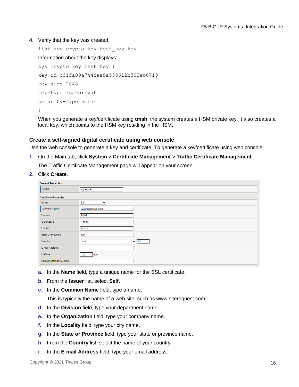**4.** Verify that the key was created.

```
list sys crypto key test_key.key
Information about the key displays:
sys crypto key test_key {
key-id c31fa09a744caa9a558612b303eb0719
key-size 2048
key-type rsa-private
security-type nethsm
}
```
<span id="page-15-0"></span>When you generate a key/certificate using **tmsh**, the system creates a HSM private key. It also creates a local key, which points to the HSM key residing in the HSM.

#### **Create a self-signed digital certificate using web console**

Use the web console to generate a key and certificate. To generate a key/certificate using web console:

**1.** On the Main tab, click **System** > **Certificate Management** > **Traffic Certificate Management**.

The Traffic Certificate Management page will appear on your screen.

**2.** Click **Create**.

| <b>General Properties</b>     |                     |  |  |
|-------------------------------|---------------------|--|--|
| Name                          | mytestcert          |  |  |
| <b>Certificate Properties</b> |                     |  |  |
| <b>Issuer</b>                 | Self<br>$\check{~}$ |  |  |
| Common Name                   | www.testthales.com  |  |  |
| <b>Division</b>               | <b>HSM</b>          |  |  |
| Organization                  | Thales              |  |  |
| Locality                      | Noida               |  |  |
| State Or Province             | UP                  |  |  |
| Country                       | India<br>$\vee$ IN  |  |  |
| E-mail Address                |                     |  |  |
| Lifetime                      | 365<br>days         |  |  |
| Subject Alternative Name      |                     |  |  |

- **a.** In the **Name** field, type a unique name for the SSL certificate.
- **b.** From the **Issuer** list, select **Self**.
- **c.** In the **Common Name** field, type a name.

This is typically the name of a web site, such as www.siterequest.com.

- **d.** In the **Division** field, type your department name.
- **e.** In the **Organization** field, type your company name.
- **f.** In the **Locality** field, type your city name.
- **g.** In the **State or Province** field, type your state or province name.
- **h.** From the **Country** list, select the name of your country.
- **i.** In the **E-mail Address** field, type your email address.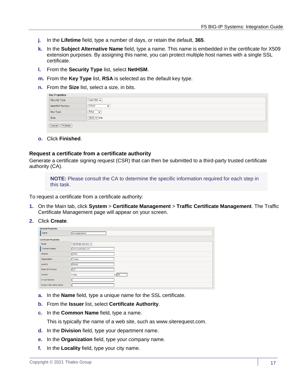- **j.** In the **Lifetime** field, type a number of days, or retain the default, **365**.
- **k.** In the **Subject Alternative Name** field, type a name. This name is embedded in the certificate for X509 extension purposes. By assigning this name, you can protect multiple host names with a single SSL certificate.
- **l.** From the **Security Type** list, select **NetHSM**.
- **m.** From the **Key Type** list, **RSA** is selected as the default key type.
- **n.** From the **Size** list, select a size, in bits.

| <b>Key Properties</b> |                             |
|-----------------------|-----------------------------|
| Security Type         | NetHSM v                    |
| NetHSM Partition      | <b>DPoD</b><br>$\checkmark$ |
| Key Type              | <b>RSA</b><br>$\sim$        |
| Size                  | $2048 \vee$ bits            |
| Cancel Finished       |                             |

**o.** Click **Finished**.

#### <span id="page-16-0"></span>**Request a certificate from a certificate authority**

Generate a certificate signing request (CSR) that can then be submitted to a third-party trusted certificate authority (CA).

**NOTE:** Please consult the CA to determine the specific information required for each step in this task.

To request a certificate from a certificate authority:

- **1.** On the Main tab, click **System** > **Certificate Management** > **Traffic Certificate Management**. The Traffic Certificate Management page will appear on your screen.
- **2.** Click **Create**.

| <b>General Properties</b>     |                         |
|-------------------------------|-------------------------|
| Name                          | mycasignedcert          |
| <b>Certificate Properties</b> |                         |
| <b>Issuer</b>                 | Certificate Authority v |
| Common Name                   | www.testthales.com      |
| <b>Division</b>               | <b>HSM</b>              |
| Organization                  | Thales                  |
| Locality                      | Noida                   |
| State Or Province             | UP                      |
| Country                       | India<br>$\vee$ IN      |
| E-mail Address                |                         |
| Subject Alternative Name      |                         |

- **a.** In the **Name** field, type a unique name for the SSL certificate.
- **b.** From the **Issuer** list, select **Certificate Authority**.
- **c.** In the **Common Name** field, type a name.

This is typically the name of a web site, such as www.siterequest.com.

- **d.** In the **Division** field, type your department name.
- **e.** In the **Organization** field, type your company name.
- **f.** In the **Locality** field, type your city name.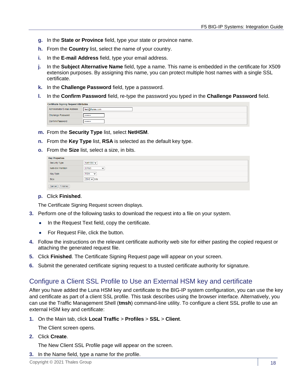- **g.** In the **State or Province** field, type your state or province name.
- **h.** From the **Country** list, select the name of your country.
- **i.** In the **E-mail Address** field, type your email address.
- **j.** In the **Subject Alternative Name** field, type a name. This name is embedded in the certificate for X509 extension purposes. By assigning this name, you can protect multiple host names with a single SSL certificate.
- **k.** In the **Challenge Password** field, type a password.
- **l.** In the **Confirm Password** field, re-type the password you typed in the **Challenge Password** field.

| <b>Certificate Signing Request Attributes</b> |                 |  |
|-----------------------------------------------|-----------------|--|
| Administrator E-mail Address                  | test@thales.com |  |
| Challenge Password                            |                 |  |
| Confirm Password                              |                 |  |

- **m.** From the **Security Type** list, select **NetHSM**.
- **n.** From the **Key Type** list, **RSA** is selected as the default key type.
- **o.** From the **Size** list, select a size, in bits.

| <b>Key Properties</b> |                             |  |  |
|-----------------------|-----------------------------|--|--|
| Security Type         | NetHSM $\sim$               |  |  |
| NetHSM Partition      | <b>DPoD</b><br>$\checkmark$ |  |  |
| Key Type              | <b>RSA</b><br>$\checkmark$  |  |  |
| Size                  | $2048 \vee$ bits            |  |  |
| Cancel   Finished     |                             |  |  |

#### **p.** Click **Finished**.

The Certificate Signing Request screen displays.

- **3.** Perform one of the following tasks to download the request into a file on your system.
	- In the Request Text field, copy the certificate.
	- For Request File, click the button.
- **4.** Follow the instructions on the relevant certificate authority web site for either pasting the copied request or attaching the generated request file.
- **5.** Click **Finished**. The Certificate Signing Request page will appear on your screen.
- **6.** Submit the generated certificate signing request to a trusted certificate authority for signature.

## <span id="page-17-0"></span>Configure a Client SSL Profile to Use an External HSM key and certificate

After you have added the Luna HSM key and certificate to the BIG-IP system configuration, you can use the key and certificate as part of a client SSL profile. This task describes using the browser interface. Alternatively, you can use the Traffic Management Shell (**tmsh**) command-line utility. To configure a client SSL profile to use an external HSM key and certificate:

**1.** On the Main tab, click **Local Traffic** > **Profiles** > **SSL** > **Client**.

The Client screen opens.

**2.** Click **Create**.

The New Client SSL Profile page will appear on the screen.

**3.** In the Name field, type a name for the profile.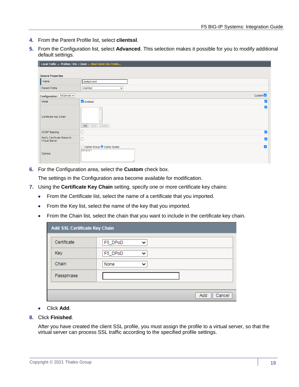- **4.** From the Parent Profile list, select **clientssl**.
- **5.** From the Configuration list, select **Advanced**. This selection makes it possible for you to modify additional default settings.

| Local Traffic » Profiles : SSL : Client » New Client SSL Profile |                                                                              |  |
|------------------------------------------------------------------|------------------------------------------------------------------------------|--|
|                                                                  |                                                                              |  |
| <b>General Properties</b>                                        |                                                                              |  |
| Name                                                             | testssiclient                                                                |  |
| Parent Profile                                                   | clientssl<br>$\checkmark$                                                    |  |
| Configuration: Advanced v                                        | Custom <sup>1</sup>                                                          |  |
| Mode                                                             | <b>Z</b> Enabled<br>$\blacktriangleright$                                    |  |
| Certificate Key Chain                                            | ☑<br>Edit Delete<br>Add                                                      |  |
| <b>OCSP Stapling</b>                                             | M                                                                            |  |
| Notify Certificate Status to<br>Virtual Server                   | г<br>M                                                                       |  |
| Ciphers                                                          | ◯ Cipher Group ● Cipher Suites<br>$\overline{\mathcal{L}}$<br><b>DEFAULT</b> |  |

**6.** For the Configuration area, select the **Custom** check box.

The settings in the Configuration area become available for modification.

- **7.** Using the **Certificate Key Chain** setting, specify one or more certificate key chains:
	- From the Certificate list, select the name of a certificate that you imported.
	- From the Key list, select the name of the key that you imported.
	- From the Chain list, select the chain that you want to include in the certificate key chain.

| Add SSL Certificate Key Chain |         |              |               |
|-------------------------------|---------|--------------|---------------|
| Certificate                   | F5_DPoD | $\checkmark$ |               |
| Key                           | F5_DPoD | ◡            |               |
| Chain                         | None    | $\check{ }$  |               |
| Passphrase                    |         |              |               |
|                               |         |              |               |
|                               |         |              | Cancel<br>Add |

- Click **Add**.
- **8.** Click **Finished**.

After you have created the client SSL profile, you must assign the profile to a virtual server, so that the virtual server can process SSL traffic according to the specified profile settings.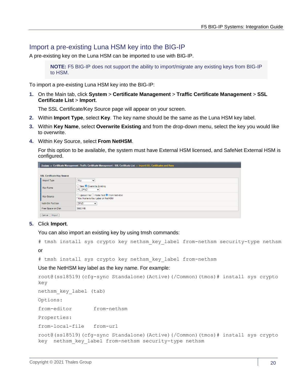## <span id="page-19-0"></span>Import a pre-existing Luna HSM key into the BIG-IP

A pre-existing key on the Luna HSM can be imported to use with BIG-IP.

**NOTE:** F5 BIG-IP does not support the ability to import/migrate any existing keys from BIG-IP to HSM.

To import a pre-existing Luna HSM key into the BIG-IP:

**1.** On the Main tab, click **System** > **Certificate Management** > **Traffic Certificate Management** > **SSL Certificate List** > **Import**.

The SSL Certificate/Key Source page will appear on your screen.

- **2.** Within **Import Type**, select **Key**. The key name should be the same as the Luna HSM key label.
- **3.** Within **Key Name**, select **Overwrite Existing** and from the drop-down menu, select the key you would like to overwrite.
- **4.** Within Key Source, select **From NetHSM**.

For this option to be available, the system must have External HSM licensed, and SafeNet External HSM is configured.

| System » Certificate Management : Traffic Certificate Management : SSL Certificate List » import SSL Certificates and Keys |                                                                               |  |  |  |  |  |  |
|----------------------------------------------------------------------------------------------------------------------------|-------------------------------------------------------------------------------|--|--|--|--|--|--|
|                                                                                                                            |                                                                               |  |  |  |  |  |  |
| <b>SSL Certificate/Key Source</b>                                                                                          |                                                                               |  |  |  |  |  |  |
| Import Type                                                                                                                | Key<br>$\check{ }$                                                            |  |  |  |  |  |  |
| Key Name                                                                                                                   | O New O Overwrite Existing<br>F5 DPoD<br>$\checkmark$                         |  |  |  |  |  |  |
| <b>Key Source</b>                                                                                                          | ◯ Upload File ◯ Paste Text O From NetHSM<br>* Key Name is Key Label on NetHSM |  |  |  |  |  |  |
| NetHSM Partition                                                                                                           | DP <sub>oD</sub><br>$\checkmark$                                              |  |  |  |  |  |  |
| Free Space on Disk                                                                                                         | 3990 MB                                                                       |  |  |  |  |  |  |
| Cancel   Import                                                                                                            |                                                                               |  |  |  |  |  |  |

#### **5.** Click **Import**.

You can also import an existing key by using tmsh commands:

# tmsh install sys crypto key nethsm\_key\_label from-nethsm security-type nethsm

or

```
# tmsh install sys crypto key nethsm_key_label from-nethsm
```
Use the NetHSM key label as the key name. For example:

```
root@(ssl8519)(cfg-sync Standalone)(Active)(/Common)(tmos)# install sys crypto 
key 
nethsm_key_label (tab)
Options:
from-editor from-nethsm 
Properties:
from-local-file from-url 
root@(ssl8519)(cfg-sync Standalone)(Active)(/Common)(tmos)# install sys crypto 
key nethsm_key_label from-nethsm security-type nethsm
```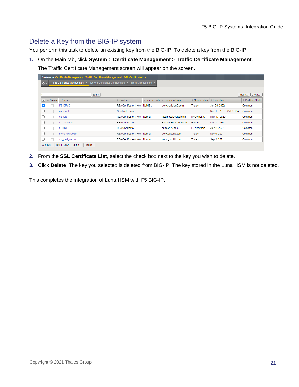## <span id="page-20-0"></span>Delete a Key from the BIG-IP system

You perform this task to delete an existing key from the BIG-IP. To delete a key from the BIG-IP:

**1.** On the Main tab, click **System** > **Certificate Management** > **Traffic Certificate Management**.

The Traffic Certificate Management screen will appear on the screen.

| System » Certificate Management : Traffic Certificate Management : SSL Certificate List |         |                             |                                 |                              |                        |                          |               |                            |                  |  |  |
|-----------------------------------------------------------------------------------------|---------|-----------------------------|---------------------------------|------------------------------|------------------------|--------------------------|---------------|----------------------------|------------------|--|--|
| Traffic Certificate Management v<br>$\alpha$ -                                          |         |                             | Device Certificate Management v |                              | HSM Management $\star$ |                          |               |                            |                  |  |  |
|                                                                                         |         |                             |                                 |                              |                        |                          |               |                            |                  |  |  |
| 1*                                                                                      |         |                             | Search                          |                              |                        |                          |               |                            | Import<br>Create |  |  |
| $\overline{\mathscr{A}}$                                                                |         | Status   - Name             |                                 | Contents                     | $=$ Key Security       | Common Name              | Organization  | Expiration                 | Partition / Path |  |  |
| $\blacktriangledown$                                                                    |         | F5 DPoD                     |                                 | RSA Certificate & Key NetHSM |                        | www.revisionD.com        | <b>Thales</b> | Jan 20, 2022               | Common           |  |  |
|                                                                                         | П       | ca-bundle                   |                                 | Certificate Bundle           |                        |                          |               | Nov 16, 2019 - Oct 6, 2046 | Common           |  |  |
|                                                                                         | П       | default                     |                                 | RSA Certificate & Key Normal |                        | localhost.localdomain    | MyCompany     | May 13, 2029               | Common           |  |  |
|                                                                                         | П       | f5-ca-bundle                |                                 | <b>RSA Certificate</b>       |                        | Entrust Root Certificati | Entrust       | Dec 7, 2030                | Common           |  |  |
|                                                                                         |         | f5-irule                    |                                 | <b>RSA Certificate</b>       |                        | support.f5.com           | F5 Networks   | Jul 18, 2027               | Common           |  |  |
|                                                                                         |         | myselfsign2020              |                                 | RSA Certificate & Key Normal |                        | www.gabuild.com          | Thales        | Nov 9, 2021                | Common           |  |  |
|                                                                                         |         | ssl cert second             |                                 | RSA Certificate & Key Normal |                        | www.gabuild.com          | Thales        | Sep 3, 2021                | Common           |  |  |
|                                                                                         | Archive | Delete OCSP Cache<br>Delete |                                 |                              |                        |                          |               |                            |                  |  |  |

- **2.** From the **SSL Certificate List**, select the check box next to the key you wish to delete.
- **3.** Click **Delete**. The key you selected is deleted from BIG-IP. The key stored in the Luna HSM is not deleted.

This completes the integration of Luna HSM with F5 BIG-IP.